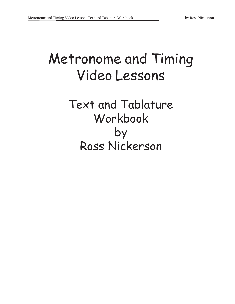# Metronome and Timing Video Lessons

Text and Tablature Workbook by Ross Nickerson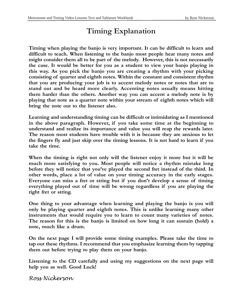## **Timing Explanation**

**Timing when playing the banjo is very important. It can be difficult to learn and difficult to teach. When listening to the banjo most people hear many notes and might consider them all to be part of the melody. However, this is not necessarily the case. It would be better for you as a student to view your banjo playing in this way. As you pick the banjo you are creating a rhythm with your picking consisting of quarter and eighth notes. Within the constant and consistent rhythm that you are producing your job is to accent melody notes or notes that are to stand out and be heard more clearly. Accenting notes usually means hitting them harder than the others. Another way you can accent a melody note is by playing that note as a quarter note within your stream of eighth notes which will bring the note out to the listener also.**

**Learning and understanding timing can be difficult or intimidating as I mentioned in the above paragraph. However, if you take some time at the beginning to understand and realize its importance and value you will reap the rewards later. The reason most students have trouble with it is because they are anxious to let the fingers fly and just skip over the timing lessons. It is not hard to learn if you take the time.**

**When the timing is right not only will the listener enjoy it more but it will be much more satisfying to you. Most people will notice a rhythm mistake long before they will notice that you've played the second fret instead of the third. In other words, place a lot of value on your timing accuracy in the early stages. Everyone can miss a fret or string but if you don't develop a sense of timing everything played out of time will be wrong regardless if you are playing the right fret or string.**

**One thing to your advantage when learning and playing the banjo is you will only be playing quarter and eighth notes. This is unlike learning many other instruments that would require you to learn to count many varieties of notes. The reason for this is the banjo is limited on how long it can sustain (hold) a note, much like a drum.**

**On the next page I will provide some timing examples. Please take the time to tap out these rhythms. I recommend that you emphasize learning them by tapping them out before trying to play them on your banjo.**

**Listening to the CD carefully and using my suggestions on the next page will help you as well. Good Luck!**

Ross Nickerson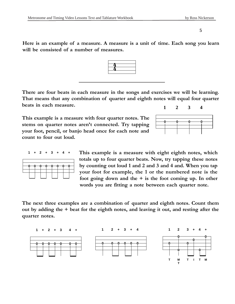**Here is an example of a measure. A measure is a unit of time. Each song you learn will be consisted of a number of measures.**



**This example is a measure with four quarter notes. The stems on quarter notes aren't connected. Try tapping your foot, pencil, or banjo head once for each note and count to four out loud.**



**This example is a measure with eight eighth notes, which totals up to four quarter beats. Now, try tapping these notes by counting out loud 1 and 2 and 3 and 4 and. When you tap your foot for example, the 1 or the numbered note is the foot going down and the + is the foot coming up. In other words you are fitting a note between each quarter note.**

**The next three examples are a combination of quarter and eighth notes. Count them out by adding the + beat for the eighth notes, and leaving it out, and resting after the quarter notes.**



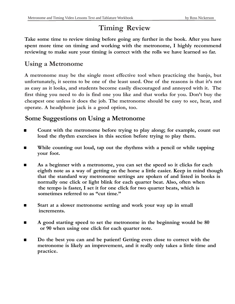## **Timing Review**

**Take some time to review timing before going any further in the book. After you have spent more time on timing and working with the metronome, I highly recommend reviewing to make sure your timing is correct with the rolls we have learned so far.**

#### **Using a Metronome**

**A metronome may be the single most effective tool when practicing the banjo, but unfortunately, it seems to be one of the least used. One of the reasons is that it's not as easy as it looks, and students become easily discouraged and annoyed with it. The first thing you need to do is find one you like and that works for you. Don't buy the cheapest one unless it does the job. The metronome should be easy to see, hear, and operate. A headphone jack is a good option, too.**

### **Some Suggestions on Using a Metronome**

- **Count with the metronome before trying to play along; for example, count out loud the rhythm exercises in this section before trying to play them.**
- **While counting out loud, tap out the rhythms with a pencil or while tapping your foot.**
- **As a beginner with a metronome, you can set the speed so it clicks for each eighth note as a way of getting on the horse a little easier. Keep in mind though that the standard way metronome settings are spoken of and listed in books is normally one click or light blink for each quarter beat. Also, often when the tempo is faster, I set it for one click for two quarter beats, which is sometimes referred to as "cut time."**
- **Start at a slower metronome setting and work your way up in small increments.**
- **A good starting speed to set the metronome in the beginning would be 80 or 90 when using one click for each quarter note.**
- **Do the best you can and be patient! Getting even close to correct with the metronome is likely an improvement, and it really only takes a little time and practice.**